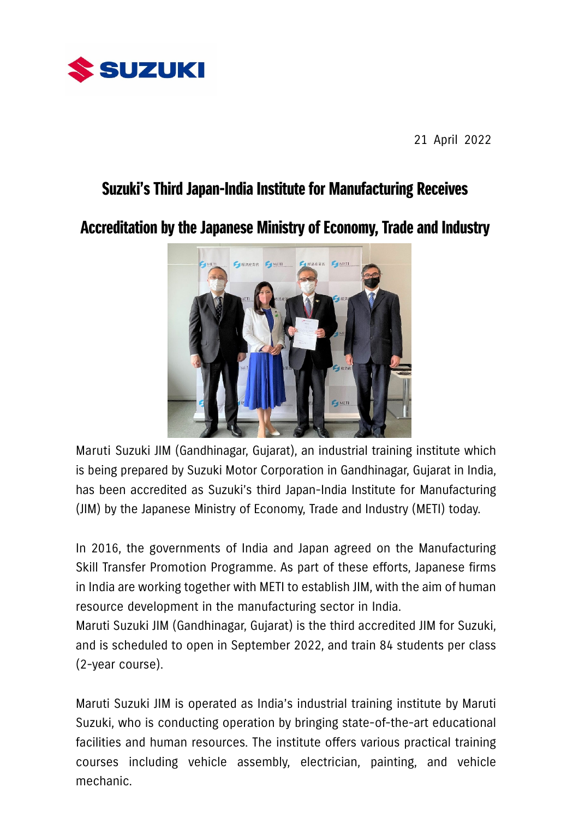

21 April 2022

## Suzuki's Third Japan-India Institute for Manufacturing Receives

Accreditation by the Japanese Ministry of Economy, Trade and Industry



Maruti Suzuki JIM (Gandhinagar, Gujarat), an industrial training institute which is being prepared by Suzuki Motor Corporation in Gandhinagar, Gujarat in India, has been accredited as Suzuki's third Japan-India Institute for Manufacturing (JIM) by the Japanese Ministry of Economy, Trade and Industry (METI) today.

In 2016, the governments of India and Japan agreed on the Manufacturing Skill Transfer Promotion Programme. As part of these efforts, Japanese firms in India are working together with METI to establish JIM, with the aim of human resource development in the manufacturing sector in India.

Maruti Suzuki JIM (Gandhinagar, Gujarat) is the third accredited JIM for Suzuki, and is scheduled to open in September 2022, and train 84 students per class (2-year course).

Maruti Suzuki JIM is operated as India's industrial training institute by Maruti Suzuki, who is conducting operation by bringing state-of-the-art educational facilities and human resources. The institute offers various practical training courses including vehicle assembly, electrician, painting, and vehicle mechanic.